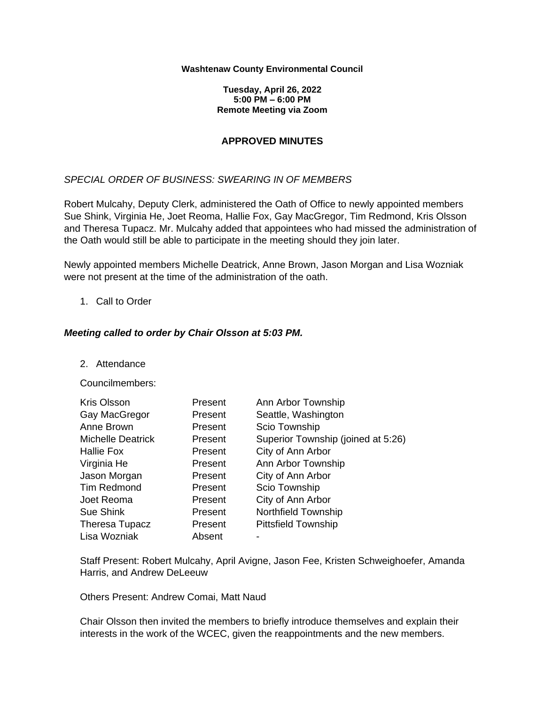#### **Washtenaw County Environmental Council**

**Tuesday, April 26, 2022 5:00 PM – 6:00 PM Remote Meeting via Zoom**

## **APPROVED MINUTES**

## *SPECIAL ORDER OF BUSINESS: SWEARING IN OF MEMBERS*

Robert Mulcahy, Deputy Clerk, administered the Oath of Office to newly appointed members Sue Shink, Virginia He, Joet Reoma, Hallie Fox, Gay MacGregor, Tim Redmond, Kris Olsson and Theresa Tupacz. Mr. Mulcahy added that appointees who had missed the administration of the Oath would still be able to participate in the meeting should they join later.

Newly appointed members Michelle Deatrick, Anne Brown, Jason Morgan and Lisa Wozniak were not present at the time of the administration of the oath.

## 1. Call to Order

## *Meeting called to order by Chair Olsson at 5:03 PM.*

2. Attendance

#### Councilmembers:

| <b>Kris Olsson</b>       | Present | Ann Arbor Township                 |
|--------------------------|---------|------------------------------------|
| Gay MacGregor            | Present | Seattle, Washington                |
| Anne Brown               | Present | Scio Township                      |
| <b>Michelle Deatrick</b> | Present | Superior Township (joined at 5:26) |
| Hallie Fox               | Present | City of Ann Arbor                  |
| Virginia He              | Present | Ann Arbor Township                 |
| Jason Morgan             | Present | City of Ann Arbor                  |
| Tim Redmond              | Present | Scio Township                      |
| Joet Reoma               | Present | City of Ann Arbor                  |
| Sue Shink                | Present | Northfield Township                |
| Theresa Tupacz           | Present | <b>Pittsfield Township</b>         |
| Lisa Wozniak             | Absent  |                                    |

Staff Present: Robert Mulcahy, April Avigne, Jason Fee, Kristen Schweighoefer, Amanda Harris, and Andrew DeLeeuw

Others Present: Andrew Comai, Matt Naud

Chair Olsson then invited the members to briefly introduce themselves and explain their interests in the work of the WCEC, given the reappointments and the new members.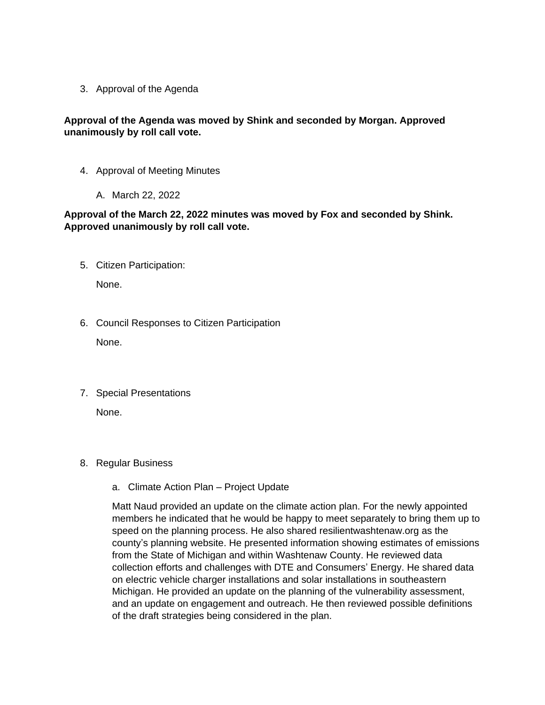3. Approval of the Agenda

# **Approval of the Agenda was moved by Shink and seconded by Morgan. Approved unanimously by roll call vote.**

- 4. Approval of Meeting Minutes
	- A. March 22, 2022

# **Approval of the March 22, 2022 minutes was moved by Fox and seconded by Shink. Approved unanimously by roll call vote.**

5. Citizen Participation:

None.

- 6. Council Responses to Citizen Participation None.
- 7. Special Presentations

None.

## 8. Regular Business

a. Climate Action Plan – Project Update

Matt Naud provided an update on the climate action plan. For the newly appointed members he indicated that he would be happy to meet separately to bring them up to speed on the planning process. He also shared resilientwashtenaw.org as the county's planning website. He presented information showing estimates of emissions from the State of Michigan and within Washtenaw County. He reviewed data collection efforts and challenges with DTE and Consumers' Energy. He shared data on electric vehicle charger installations and solar installations in southeastern Michigan. He provided an update on the planning of the vulnerability assessment, and an update on engagement and outreach. He then reviewed possible definitions of the draft strategies being considered in the plan.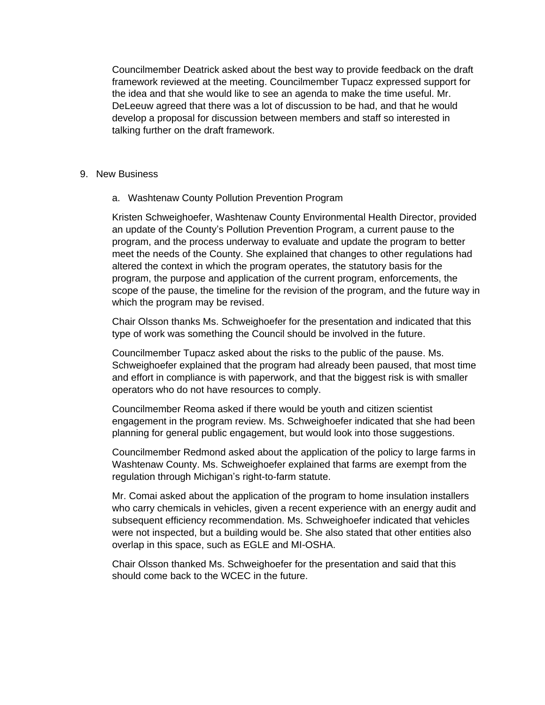Councilmember Deatrick asked about the best way to provide feedback on the draft framework reviewed at the meeting. Councilmember Tupacz expressed support for the idea and that she would like to see an agenda to make the time useful. Mr. DeLeeuw agreed that there was a lot of discussion to be had, and that he would develop a proposal for discussion between members and staff so interested in talking further on the draft framework.

### 9. New Business

a. Washtenaw County Pollution Prevention Program

Kristen Schweighoefer, Washtenaw County Environmental Health Director, provided an update of the County's Pollution Prevention Program, a current pause to the program, and the process underway to evaluate and update the program to better meet the needs of the County. She explained that changes to other regulations had altered the context in which the program operates, the statutory basis for the program, the purpose and application of the current program, enforcements, the scope of the pause, the timeline for the revision of the program, and the future way in which the program may be revised.

Chair Olsson thanks Ms. Schweighoefer for the presentation and indicated that this type of work was something the Council should be involved in the future.

Councilmember Tupacz asked about the risks to the public of the pause. Ms. Schweighoefer explained that the program had already been paused, that most time and effort in compliance is with paperwork, and that the biggest risk is with smaller operators who do not have resources to comply.

Councilmember Reoma asked if there would be youth and citizen scientist engagement in the program review. Ms. Schweighoefer indicated that she had been planning for general public engagement, but would look into those suggestions.

Councilmember Redmond asked about the application of the policy to large farms in Washtenaw County. Ms. Schweighoefer explained that farms are exempt from the regulation through Michigan's right-to-farm statute.

Mr. Comai asked about the application of the program to home insulation installers who carry chemicals in vehicles, given a recent experience with an energy audit and subsequent efficiency recommendation. Ms. Schweighoefer indicated that vehicles were not inspected, but a building would be. She also stated that other entities also overlap in this space, such as EGLE and MI-OSHA.

Chair Olsson thanked Ms. Schweighoefer for the presentation and said that this should come back to the WCEC in the future.